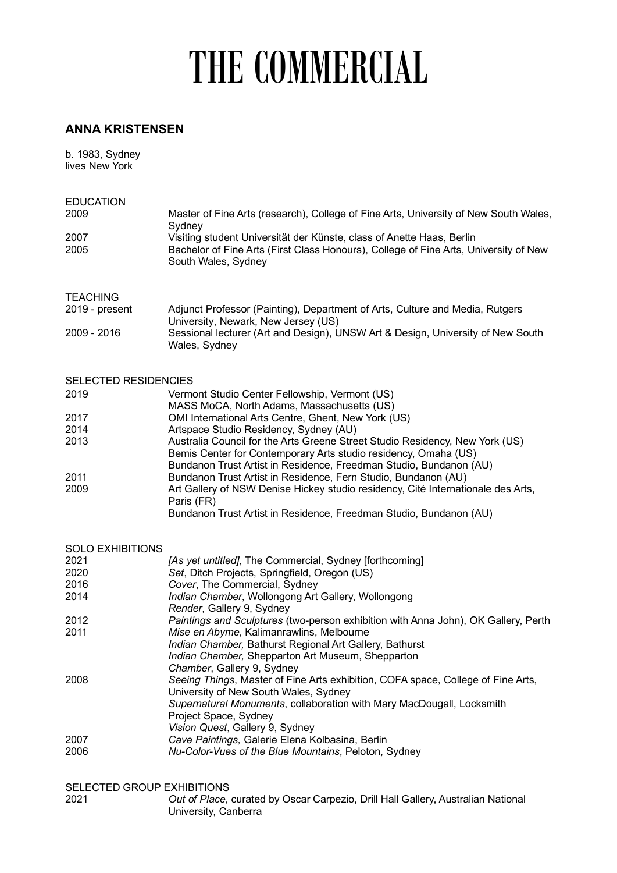## THE COMMERCIAL

## **ANNA KRISTENSEN**

b. 1983, Sydney lives New York

| <b>EDUCATION</b><br>2009                         | Master of Fine Arts (research), College of Fine Arts, University of New South Wales,<br>Sydney                                                                                                                          |  |
|--------------------------------------------------|-------------------------------------------------------------------------------------------------------------------------------------------------------------------------------------------------------------------------|--|
| 2007<br>2005                                     | Visiting student Universität der Künste, class of Anette Haas, Berlin<br>Bachelor of Fine Arts (First Class Honours), College of Fine Arts, University of New<br>South Wales, Sydney                                    |  |
| <b>TEACHING</b><br>2019 - present<br>2009 - 2016 | Adjunct Professor (Painting), Department of Arts, Culture and Media, Rutgers<br>University, Newark, New Jersey (US)<br>Sessional lecturer (Art and Design), UNSW Art & Design, University of New South<br>Wales, Sydney |  |
| <b>SELECTED RESIDENCIES</b>                      |                                                                                                                                                                                                                         |  |
| 2019                                             | Vermont Studio Center Fellowship, Vermont (US)<br>MASS MoCA, North Adams, Massachusetts (US)                                                                                                                            |  |
| 2017                                             | OMI International Arts Centre, Ghent, New York (US)                                                                                                                                                                     |  |
| 2014                                             | Artspace Studio Residency, Sydney (AU)                                                                                                                                                                                  |  |
| 2013                                             | Australia Council for the Arts Greene Street Studio Residency, New York (US)<br>Bemis Center for Contemporary Arts studio residency, Omaha (US)                                                                         |  |
|                                                  | Bundanon Trust Artist in Residence, Freedman Studio, Bundanon (AU)                                                                                                                                                      |  |
| 2011<br>2009                                     | Bundanon Trust Artist in Residence, Fern Studio, Bundanon (AU)<br>Art Gallery of NSW Denise Hickey studio residency, Cité Internationale des Arts,                                                                      |  |
|                                                  | Paris (FR)<br>Bundanon Trust Artist in Residence, Freedman Studio, Bundanon (AU)                                                                                                                                        |  |
| <b>SOLO EXHIBITIONS</b>                          |                                                                                                                                                                                                                         |  |
| 2021                                             | [As yet untitled], The Commercial, Sydney [forthcoming]                                                                                                                                                                 |  |
| 2020                                             | Set, Ditch Projects, Springfield, Oregon (US)                                                                                                                                                                           |  |
| 2016<br>2014                                     | Cover, The Commercial, Sydney<br>Indian Chamber, Wollongong Art Gallery, Wollongong                                                                                                                                     |  |
|                                                  | Render, Gallery 9, Sydney                                                                                                                                                                                               |  |
| 2012                                             | Paintings and Sculptures (two-person exhibition with Anna John), OK Gallery, Perth<br>Mise en Abyme, Kalimanrawlins, Melbourne                                                                                          |  |
| 2011                                             | Indian Chamber, Bathurst Regional Art Gallery, Bathurst                                                                                                                                                                 |  |
|                                                  | Indian Chamber, Shepparton Art Museum, Shepparton                                                                                                                                                                       |  |
| 2008                                             | Chamber, Gallery 9, Sydney<br>Seeing Things, Master of Fine Arts exhibition, COFA space, College of Fine Arts,                                                                                                          |  |
|                                                  | University of New South Wales, Sydney                                                                                                                                                                                   |  |
|                                                  | Supernatural Monuments, collaboration with Mary MacDougall, Locksmith                                                                                                                                                   |  |
|                                                  | Project Space, Sydney<br>Vision Quest, Gallery 9, Sydney                                                                                                                                                                |  |
| 2007                                             | Cave Paintings, Galerie Elena Kolbasina, Berlin                                                                                                                                                                         |  |
| 2006                                             | Nu-Color-Vues of the Blue Mountains, Peloton, Sydney                                                                                                                                                                    |  |
| SELECTED GROUP EXHIBITIONS                       |                                                                                                                                                                                                                         |  |
| 2021                                             | Out of Place, curated by Oscar Carpezio, Drill Hall Gallery, Australian National                                                                                                                                        |  |

University, Canberra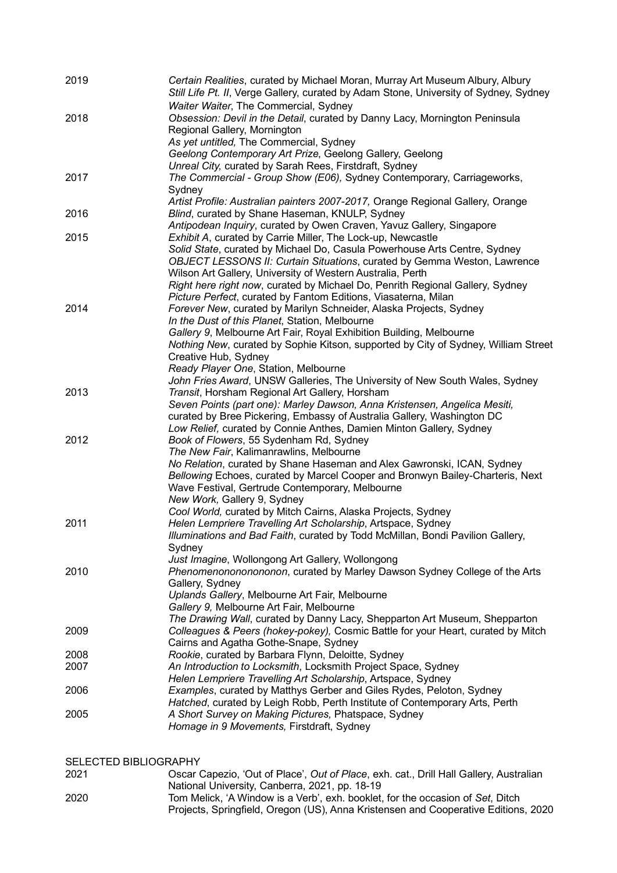| 2019 | Certain Realities, curated by Michael Moran, Murray Art Museum Albury, Albury<br>Still Life Pt. II, Verge Gallery, curated by Adam Stone, University of Sydney, Sydney                                                                                                                               |
|------|------------------------------------------------------------------------------------------------------------------------------------------------------------------------------------------------------------------------------------------------------------------------------------------------------|
| 2018 | Waiter Waiter, The Commercial, Sydney<br>Obsession: Devil in the Detail, curated by Danny Lacy, Mornington Peninsula<br>Regional Gallery, Mornington<br>As yet untitled, The Commercial, Sydney                                                                                                      |
|      | Geelong Contemporary Art Prize, Geelong Gallery, Geelong                                                                                                                                                                                                                                             |
|      | Unreal City, curated by Sarah Rees, Firstdraft, Sydney                                                                                                                                                                                                                                               |
| 2017 | The Commercial - Group Show (E06), Sydney Contemporary, Carriageworks,<br>Sydney                                                                                                                                                                                                                     |
|      | Artist Profile: Australian painters 2007-2017, Orange Regional Gallery, Orange                                                                                                                                                                                                                       |
| 2016 | Blind, curated by Shane Haseman, KNULP, Sydney<br>Antipodean Inquiry, curated by Owen Craven, Yavuz Gallery, Singapore                                                                                                                                                                               |
| 2015 | Exhibit A, curated by Carrie Miller, The Lock-up, Newcastle                                                                                                                                                                                                                                          |
|      | Solid State, curated by Michael Do, Casula Powerhouse Arts Centre, Sydney<br>OBJECT LESSONS II: Curtain Situations, curated by Gemma Weston, Lawrence<br>Wilson Art Gallery, University of Western Australia, Perth<br>Right here right now, curated by Michael Do, Penrith Regional Gallery, Sydney |
|      | Picture Perfect, curated by Fantom Editions, Viasaterna, Milan                                                                                                                                                                                                                                       |
| 2014 | Forever New, curated by Marilyn Schneider, Alaska Projects, Sydney                                                                                                                                                                                                                                   |
|      | In the Dust of this Planet, Station, Melbourne                                                                                                                                                                                                                                                       |
|      | Gallery 9, Melbourne Art Fair, Royal Exhibition Building, Melbourne                                                                                                                                                                                                                                  |
|      | Nothing New, curated by Sophie Kitson, supported by City of Sydney, William Street                                                                                                                                                                                                                   |
|      | Creative Hub, Sydney                                                                                                                                                                                                                                                                                 |
|      | Ready Player One, Station, Melbourne<br>John Fries Award, UNSW Galleries, The University of New South Wales, Sydney                                                                                                                                                                                  |
| 2013 | Transit, Horsham Regional Art Gallery, Horsham                                                                                                                                                                                                                                                       |
|      | Seven Points (part one): Marley Dawson, Anna Kristensen, Angelica Mesiti,                                                                                                                                                                                                                            |
|      | curated by Bree Pickering, Embassy of Australia Gallery, Washington DC                                                                                                                                                                                                                               |
|      | Low Relief, curated by Connie Anthes, Damien Minton Gallery, Sydney                                                                                                                                                                                                                                  |
| 2012 | Book of Flowers, 55 Sydenham Rd, Sydney                                                                                                                                                                                                                                                              |
|      | The New Fair, Kalimanrawlins, Melbourne                                                                                                                                                                                                                                                              |
|      | No Relation, curated by Shane Haseman and Alex Gawronski, ICAN, Sydney<br>Bellowing Echoes, curated by Marcel Cooper and Bronwyn Bailey-Charteris, Next                                                                                                                                              |
|      | Wave Festival, Gertrude Contemporary, Melbourne                                                                                                                                                                                                                                                      |
|      | New Work, Gallery 9, Sydney                                                                                                                                                                                                                                                                          |
|      | Cool World, curated by Mitch Cairns, Alaska Projects, Sydney                                                                                                                                                                                                                                         |
| 2011 | Helen Lempriere Travelling Art Scholarship, Artspace, Sydney                                                                                                                                                                                                                                         |
|      | Illuminations and Bad Faith, curated by Todd McMillan, Bondi Pavilion Gallery,                                                                                                                                                                                                                       |
|      | Sydney<br>Just Imagine, Wollongong Art Gallery, Wollongong                                                                                                                                                                                                                                           |
| 2010 | Phenomenonononononon, curated by Marley Dawson Sydney College of the Arts                                                                                                                                                                                                                            |
|      | Gallery, Sydney                                                                                                                                                                                                                                                                                      |
|      | Uplands Gallery, Melbourne Art Fair, Melbourne                                                                                                                                                                                                                                                       |
|      | Gallery 9, Melbourne Art Fair, Melbourne                                                                                                                                                                                                                                                             |
|      | The Drawing Wall, curated by Danny Lacy, Shepparton Art Museum, Shepparton                                                                                                                                                                                                                           |
| 2009 | Colleagues & Peers (hokey-pokey), Cosmic Battle for your Heart, curated by Mitch                                                                                                                                                                                                                     |
| 2008 | Cairns and Agatha Gothe-Snape, Sydney<br>Rookie, curated by Barbara Flynn, Deloitte, Sydney                                                                                                                                                                                                          |
| 2007 | An Introduction to Locksmith, Locksmith Project Space, Sydney                                                                                                                                                                                                                                        |
|      | Helen Lempriere Travelling Art Scholarship, Artspace, Sydney                                                                                                                                                                                                                                         |
| 2006 | Examples, curated by Matthys Gerber and Giles Rydes, Peloton, Sydney                                                                                                                                                                                                                                 |
|      | Hatched, curated by Leigh Robb, Perth Institute of Contemporary Arts, Perth                                                                                                                                                                                                                          |
| 2005 | A Short Survey on Making Pictures, Phatspace, Sydney                                                                                                                                                                                                                                                 |
|      | Homage in 9 Movements, Firstdraft, Sydney                                                                                                                                                                                                                                                            |
|      |                                                                                                                                                                                                                                                                                                      |

SELECTED BIBLIOGRAPHY<br>2021 Oscar ( 2021 Oscar Capezio, 'Out of Place', *Out of Place*, exh. cat., Drill Hall Gallery, Australian National University, Canberra, 2021, pp. 18-19 2020 Tom Melick, 'A Window is a Verb', exh. booklet, for the occasion of *Set*, Ditch Projects, Springfield, Oregon (US), Anna Kristensen and Cooperative Editions, 2020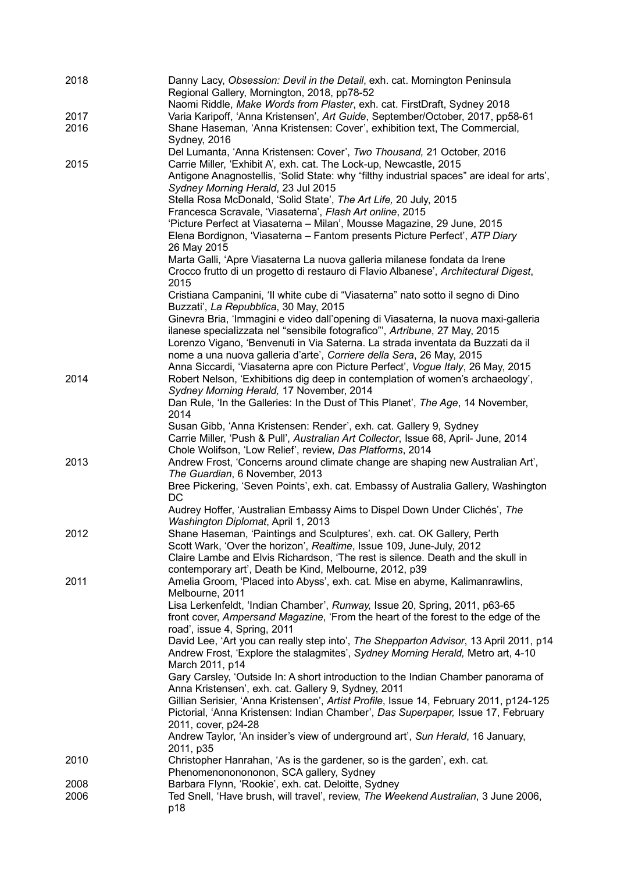| 2018 | Danny Lacy, Obsession: Devil in the Detail, exh. cat. Mornington Peninsula<br>Regional Gallery, Mornington, 2018, pp78-52       |
|------|---------------------------------------------------------------------------------------------------------------------------------|
|      | Naomi Riddle, Make Words from Plaster, exh. cat. FirstDraft, Sydney 2018                                                        |
| 2017 | Varia Karipoff, 'Anna Kristensen', Art Guide, September/October, 2017, pp58-61                                                  |
| 2016 | Shane Haseman, 'Anna Kristensen: Cover', exhibition text, The Commercial,<br>Sydney, 2016                                       |
|      | Del Lumanta, 'Anna Kristensen: Cover', Two Thousand, 21 October, 2016                                                           |
| 2015 | Carrie Miller, 'Exhibit A', exh. cat. The Lock-up, Newcastle, 2015                                                              |
|      | Antigone Anagnostellis, 'Solid State: why "filthy industrial spaces" are ideal for arts',<br>Sydney Morning Herald, 23 Jul 2015 |
|      | Stella Rosa McDonald, 'Solid State', The Art Life, 20 July, 2015                                                                |
|      | Francesca Scravale, 'Viasaterna', Flash Art online, 2015                                                                        |
|      | 'Picture Perfect at Viasaterna - Milan', Mousse Magazine, 29 June, 2015                                                         |
|      | Elena Bordignon, 'Viasaterna - Fantom presents Picture Perfect', ATP Diary<br>26 May 2015                                       |
|      | Marta Galli, 'Apre Viasaterna La nuova galleria milanese fondata da Irene                                                       |
|      | Crocco frutto di un progetto di restauro di Flavio Albanese', Architectural Digest,<br>2015                                     |
|      | Cristiana Campanini, 'Il white cube di "Viasaterna" nato sotto il segno di Dino<br>Buzzati', La Repubblica, 30 May, 2015        |
|      | Ginevra Bria, 'Immagini e video dall'opening di Viasaterna, la nuova maxi-galleria                                              |
|      | ilanese specializzata nel "sensibile fotografico"', Artribune, 27 May, 2015                                                     |
|      | Lorenzo Vigano, 'Benvenuti in Via Saterna. La strada inventata da Buzzati da il                                                 |
|      | nome a una nuova galleria d'arte', Corriere della Sera, 26 May, 2015                                                            |
|      | Anna Siccardi, 'Viasaterna apre con Picture Perfect', Vogue Italy, 26 May, 2015                                                 |
| 2014 | Robert Nelson, 'Exhibitions dig deep in contemplation of women's archaeology',                                                  |
|      | Sydney Morning Herald, 17 November, 2014                                                                                        |
|      | Dan Rule, 'In the Galleries: In the Dust of This Planet', The Age, 14 November,                                                 |
|      | 2014                                                                                                                            |
|      | Susan Gibb, 'Anna Kristensen: Render', exh. cat. Gallery 9, Sydney                                                              |
|      | Carrie Miller, 'Push & Pull', Australian Art Collector, Issue 68, April- June, 2014                                             |
|      | Chole Wolifson, 'Low Relief', review, Das Platforms, 2014                                                                       |
| 2013 | Andrew Frost, 'Concerns around climate change are shaping new Australian Art',                                                  |
|      | The Guardian, 6 November, 2013                                                                                                  |
|      | Bree Pickering, 'Seven Points', exh. cat. Embassy of Australia Gallery, Washington<br><b>DC</b>                                 |
|      | Audrey Hoffer, 'Australian Embassy Aims to Dispel Down Under Clichés', The                                                      |
|      | Washington Diplomat, April 1, 2013                                                                                              |
| 2012 | Shane Haseman, 'Paintings and Sculptures', exh. cat. OK Gallery, Perth                                                          |
|      | Scott Wark, 'Over the horizon', Realtime, Issue 109, June-July, 2012                                                            |
|      | Claire Lambe and Elvis Richardson, 'The rest is silence. Death and the skull in                                                 |
|      | contemporary art', Death be Kind, Melbourne, 2012, p39                                                                          |
| 2011 | Amelia Groom, 'Placed into Abyss', exh. cat. Mise en abyme, Kalimanrawlins,                                                     |
|      | Melbourne, 2011                                                                                                                 |
|      | Lisa Lerkenfeldt, 'Indian Chamber', Runway, Issue 20, Spring, 2011, p63-65                                                      |
|      | front cover, Ampersand Magazine, 'From the heart of the forest to the edge of the                                               |
|      | road', issue 4, Spring, 2011                                                                                                    |
|      | David Lee, 'Art you can really step into', The Shepparton Advisor, 13 April 2011, p14                                           |
|      | Andrew Frost, 'Explore the stalagmites', Sydney Morning Herald, Metro art, 4-10                                                 |
|      | March 2011, p14                                                                                                                 |
|      | Gary Carsley, 'Outside In: A short introduction to the Indian Chamber panorama of                                               |
|      | Anna Kristensen', exh. cat. Gallery 9, Sydney, 2011                                                                             |
|      | Gillian Serisier, 'Anna Kristensen', Artist Profile, Issue 14, February 2011, p124-125                                          |
|      | Pictorial, 'Anna Kristensen: Indian Chamber', Das Superpaper, Issue 17, February                                                |
|      | 2011, cover, p24-28                                                                                                             |
|      | Andrew Taylor, 'An insider's view of underground art', Sun Herald, 16 January,                                                  |
|      | 2011, p35                                                                                                                       |
| 2010 | Christopher Hanrahan, 'As is the gardener, so is the garden', exh. cat.                                                         |
|      | Phenomenononononon, SCA gallery, Sydney                                                                                         |
| 2008 | Barbara Flynn, 'Rookie', exh. cat. Deloitte, Sydney                                                                             |
| 2006 | Ted Snell, 'Have brush, will travel', review, The Weekend Australian, 3 June 2006,                                              |
|      | p18                                                                                                                             |